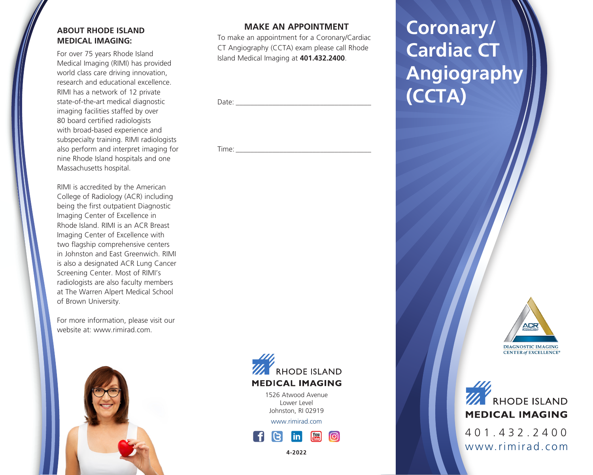# **ABOUT RHODE ISLAND MEDICAL IMAGING:**

For over 75 years Rhode Island Medical Imaging (RIMI) has provided world class care driving innovation, research and educational excellence. RIMI has a network of 12 private state-of-the-art medical diagnostic imaging facilities staffed by over 80 board certified radiologists with broad-based experience and subspecialty training. RIMI radiologists also perform and interpret imaging for nine Rhode Island hospitals and one Massachusetts hospital.

RIMI is accredited by the American College of Radiology (ACR) including being the first outpatient Diagnostic Imaging Center of Excellence in Rhode Island. RIMI is an ACR Breast Imaging Center of Excellence with two flagship comprehensive centers in Johnston and East Greenwich. RIMI is also a designated ACR Lung Cancer Screening Center. Most of RIMI's radiologists are also faculty members at The Warren Alpert Medical School of Brown University.

For more information, please visit our website at: www.rimirad.com.



# **MAKE AN APPOINTMENT**

To make an appointment for a Coronary/Cardiac CT Angiography (CCTA) exam please call Rhode Island Medical Imaging at **401.432.2400**.

| $D \rightarrow + \rightarrow$<br>vale. |  |
|----------------------------------------|--|
|                                        |  |
|                                        |  |

 $Time:$ 

# **Coronary/ Cardiac CT Angiography (CCTA)**



401.432.2400

**MEDICAL IMAGING** 

**WE RHODE ISLAND** 

www.rimirad.com



**4-2022**